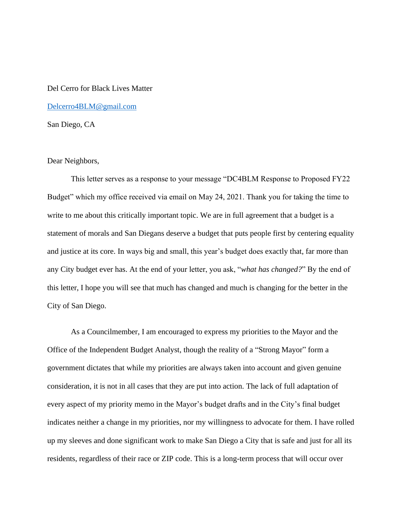## Del Cerro for Black Lives Matter

[Delcerro4BLM@gmail.com](mailto:Delcerro4BLM@gmail.com)

San Diego, CA

## Dear Neighbors,

This letter serves as a response to your message "DC4BLM Response to Proposed FY22 Budget" which my office received via email on May 24, 2021. Thank you for taking the time to write to me about this critically important topic. We are in full agreement that a budget is a statement of morals and San Diegans deserve a budget that puts people first by centering equality and justice at its core. In ways big and small, this year's budget does exactly that, far more than any City budget ever has. At the end of your letter, you ask, "*what has changed?*" By the end of this letter, I hope you will see that much has changed and much is changing for the better in the City of San Diego.

As a Councilmember, I am encouraged to express my priorities to the Mayor and the Office of the Independent Budget Analyst, though the reality of a "Strong Mayor" form a government dictates that while my priorities are always taken into account and given genuine consideration, it is not in all cases that they are put into action. The lack of full adaptation of every aspect of my priority memo in the Mayor's budget drafts and in the City's final budget indicates neither a change in my priorities, nor my willingness to advocate for them. I have rolled up my sleeves and done significant work to make San Diego a City that is safe and just for all its residents, regardless of their race or ZIP code. This is a long-term process that will occur over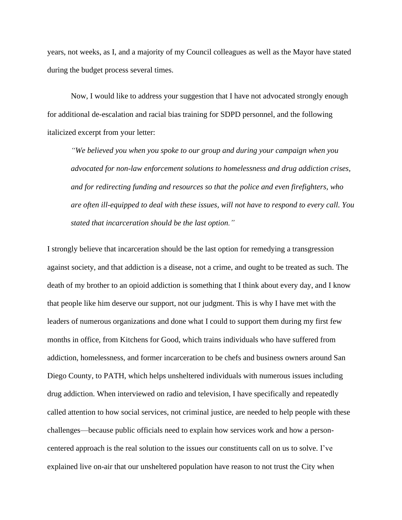years, not weeks, as I, and a majority of my Council colleagues as well as the Mayor have stated during the budget process several times.

Now, I would like to address your suggestion that I have not advocated strongly enough for additional de-escalation and racial bias training for SDPD personnel, and the following italicized excerpt from your letter:

*"We believed you when you spoke to our group and during your campaign when you advocated for non-law enforcement solutions to homelessness and drug addiction crises, and for redirecting funding and resources so that the police and even firefighters, who are often ill-equipped to deal with these issues, will not have to respond to every call. You stated that incarceration should be the last option."*

I strongly believe that incarceration should be the last option for remedying a transgression against society, and that addiction is a disease, not a crime, and ought to be treated as such. The death of my brother to an opioid addiction is something that I think about every day, and I know that people like him deserve our support, not our judgment. This is why I have met with the leaders of numerous organizations and done what I could to support them during my first few months in office, from Kitchens for Good, which trains individuals who have suffered from addiction, homelessness, and former incarceration to be chefs and business owners around San Diego County, to PATH, which helps unsheltered individuals with numerous issues including drug addiction. When interviewed on radio and television, I have specifically and repeatedly called attention to how social services, not criminal justice, are needed to help people with these challenges—because public officials need to explain how services work and how a personcentered approach is the real solution to the issues our constituents call on us to solve. I've explained live on-air that our unsheltered population have reason to not trust the City when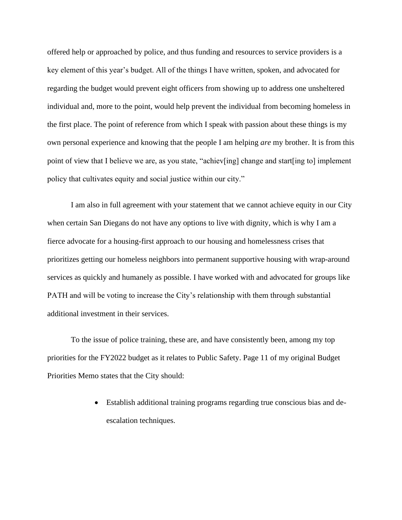offered help or approached by police, and thus funding and resources to service providers is a key element of this year's budget. All of the things I have written, spoken, and advocated for regarding the budget would prevent eight officers from showing up to address one unsheltered individual and, more to the point, would help prevent the individual from becoming homeless in the first place. The point of reference from which I speak with passion about these things is my own personal experience and knowing that the people I am helping *are* my brother. It is from this point of view that I believe we are, as you state, "achiev[ing] change and start[ing to] implement policy that cultivates equity and social justice within our city."

I am also in full agreement with your statement that we cannot achieve equity in our City when certain San Diegans do not have any options to live with dignity, which is why I am a fierce advocate for a housing-first approach to our housing and homelessness crises that prioritizes getting our homeless neighbors into permanent supportive housing with wrap-around services as quickly and humanely as possible. I have worked with and advocated for groups like PATH and will be voting to increase the City's relationship with them through substantial additional investment in their services.

To the issue of police training, these are, and have consistently been, among my top priorities for the FY2022 budget as it relates to Public Safety. Page 11 of my original Budget Priorities Memo states that the City should:

> • Establish additional training programs regarding true conscious bias and deescalation techniques.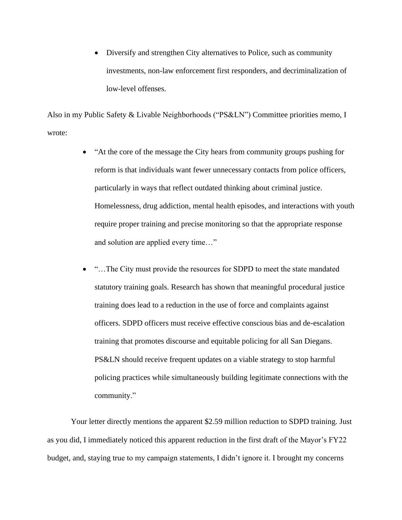• Diversify and strengthen City alternatives to Police, such as community investments, non-law enforcement first responders, and decriminalization of low-level offenses.

Also in my Public Safety & Livable Neighborhoods ("PS&LN") Committee priorities memo, I wrote:

- "At the core of the message the City hears from community groups pushing for reform is that individuals want fewer unnecessary contacts from police officers, particularly in ways that reflect outdated thinking about criminal justice. Homelessness, drug addiction, mental health episodes, and interactions with youth require proper training and precise monitoring so that the appropriate response and solution are applied every time…"
- "…The City must provide the resources for SDPD to meet the state mandated statutory training goals. Research has shown that meaningful procedural justice training does lead to a reduction in the use of force and complaints against officers. SDPD officers must receive effective conscious bias and de-escalation training that promotes discourse and equitable policing for all San Diegans. PS&LN should receive frequent updates on a viable strategy to stop harmful policing practices while simultaneously building legitimate connections with the community."

Your letter directly mentions the apparent \$2.59 million reduction to SDPD training. Just as you did, I immediately noticed this apparent reduction in the first draft of the Mayor's FY22 budget, and, staying true to my campaign statements, I didn't ignore it. I brought my concerns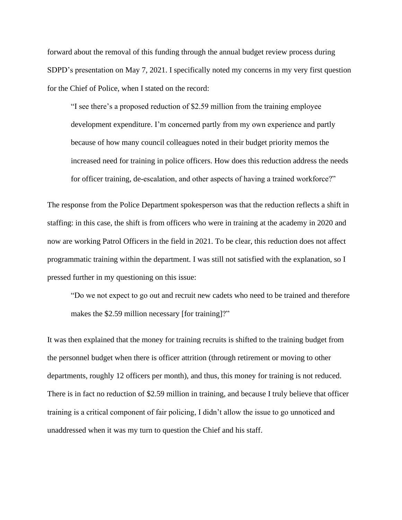forward about the removal of this funding through the annual budget review process during SDPD's presentation on May 7, 2021. I specifically noted my concerns in my very first question for the Chief of Police, when I stated on the record:

"I see there's a proposed reduction of \$2.59 million from the training employee development expenditure. I'm concerned partly from my own experience and partly because of how many council colleagues noted in their budget priority memos the increased need for training in police officers. How does this reduction address the needs for officer training, de-escalation, and other aspects of having a trained workforce?"

The response from the Police Department spokesperson was that the reduction reflects a shift in staffing: in this case, the shift is from officers who were in training at the academy in 2020 and now are working Patrol Officers in the field in 2021. To be clear, this reduction does not affect programmatic training within the department. I was still not satisfied with the explanation, so I pressed further in my questioning on this issue:

"Do we not expect to go out and recruit new cadets who need to be trained and therefore makes the \$2.59 million necessary [for training]?"

It was then explained that the money for training recruits is shifted to the training budget from the personnel budget when there is officer attrition (through retirement or moving to other departments, roughly 12 officers per month), and thus, this money for training is not reduced. There is in fact no reduction of \$2.59 million in training, and because I truly believe that officer training is a critical component of fair policing, I didn't allow the issue to go unnoticed and unaddressed when it was my turn to question the Chief and his staff.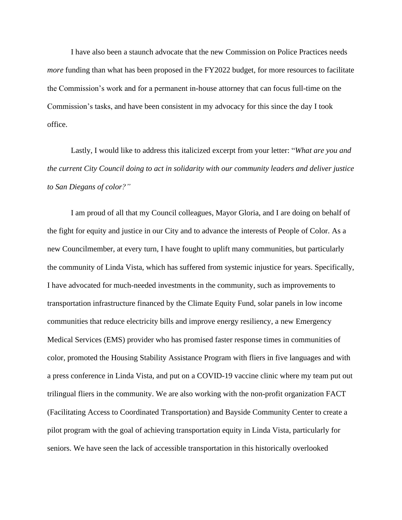I have also been a staunch advocate that the new Commission on Police Practices needs *more* funding than what has been proposed in the FY2022 budget, for more resources to facilitate the Commission's work and for a permanent in-house attorney that can focus full-time on the Commission's tasks, and have been consistent in my advocacy for this since the day I took office.

Lastly, I would like to address this italicized excerpt from your letter: "*What are you and the current City Council doing to act in solidarity with our community leaders and deliver justice to San Diegans of color?"*

I am proud of all that my Council colleagues, Mayor Gloria, and I are doing on behalf of the fight for equity and justice in our City and to advance the interests of People of Color. As a new Councilmember, at every turn, I have fought to uplift many communities, but particularly the community of Linda Vista, which has suffered from systemic injustice for years. Specifically, I have advocated for much-needed investments in the community, such as improvements to transportation infrastructure financed by the Climate Equity Fund, solar panels in low income communities that reduce electricity bills and improve energy resiliency, a new Emergency Medical Services (EMS) provider who has promised faster response times in communities of color, promoted the Housing Stability Assistance Program with fliers in five languages and with a press conference in Linda Vista, and put on a COVID-19 vaccine clinic where my team put out trilingual fliers in the community. We are also working with the non-profit organization FACT (Facilitating Access to Coordinated Transportation) and Bayside Community Center to create a pilot program with the goal of achieving transportation equity in Linda Vista, particularly for seniors. We have seen the lack of accessible transportation in this historically overlooked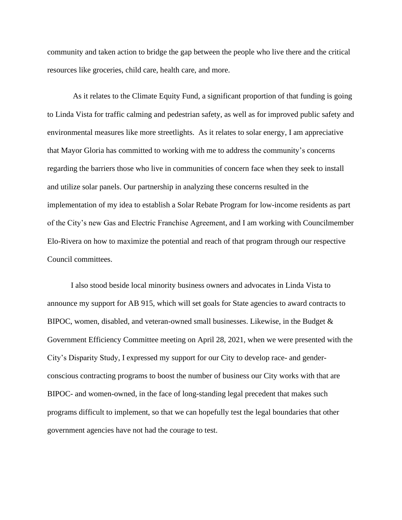community and taken action to bridge the gap between the people who live there and the critical resources like groceries, child care, health care, and more.

As it relates to the Climate Equity Fund, a significant proportion of that funding is going to Linda Vista for traffic calming and pedestrian safety, as well as for improved public safety and environmental measures like more streetlights. As it relates to solar energy, I am appreciative that Mayor Gloria has committed to working with me to address the community's concerns regarding the barriers those who live in communities of concern face when they seek to install and utilize solar panels. Our partnership in analyzing these concerns resulted in the implementation of my idea to establish a Solar Rebate Program for low-income residents as part of the City's new Gas and Electric Franchise Agreement, and I am working with Councilmember Elo-Rivera on how to maximize the potential and reach of that program through our respective Council committees.

I also stood beside local minority business owners and advocates in Linda Vista to announce my support for AB 915, which will set goals for State agencies to award contracts to BIPOC, women, disabled, and veteran-owned small businesses. Likewise, in the Budget & Government Efficiency Committee meeting on April 28, 2021, when we were presented with the City's Disparity Study, I expressed my support for our City to develop race- and genderconscious contracting programs to boost the number of business our City works with that are BIPOC- and women-owned, in the face of long-standing legal precedent that makes such programs difficult to implement, so that we can hopefully test the legal boundaries that other government agencies have not had the courage to test.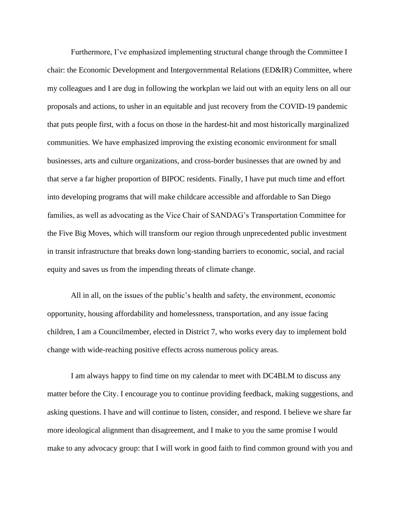Furthermore, I've emphasized implementing structural change through the Committee I chair: the Economic Development and Intergovernmental Relations (ED&IR) Committee, where my colleagues and I are dug in following the workplan we laid out with an equity lens on all our proposals and actions, to usher in an equitable and just recovery from the COVID-19 pandemic that puts people first, with a focus on those in the hardest-hit and most historically marginalized communities. We have emphasized improving the existing economic environment for small businesses, arts and culture organizations, and cross-border businesses that are owned by and that serve a far higher proportion of BIPOC residents. Finally, I have put much time and effort into developing programs that will make childcare accessible and affordable to San Diego families, as well as advocating as the Vice Chair of SANDAG's Transportation Committee for the Five Big Moves, which will transform our region through unprecedented public investment in transit infrastructure that breaks down long-standing barriers to economic, social, and racial equity and saves us from the impending threats of climate change.

All in all, on the issues of the public's health and safety, the environment, economic opportunity, housing affordability and homelessness, transportation, and any issue facing children, I am a Councilmember, elected in District 7, who works every day to implement bold change with wide-reaching positive effects across numerous policy areas.

I am always happy to find time on my calendar to meet with DC4BLM to discuss any matter before the City. I encourage you to continue providing feedback, making suggestions, and asking questions. I have and will continue to listen, consider, and respond. I believe we share far more ideological alignment than disagreement, and I make to you the same promise I would make to any advocacy group: that I will work in good faith to find common ground with you and